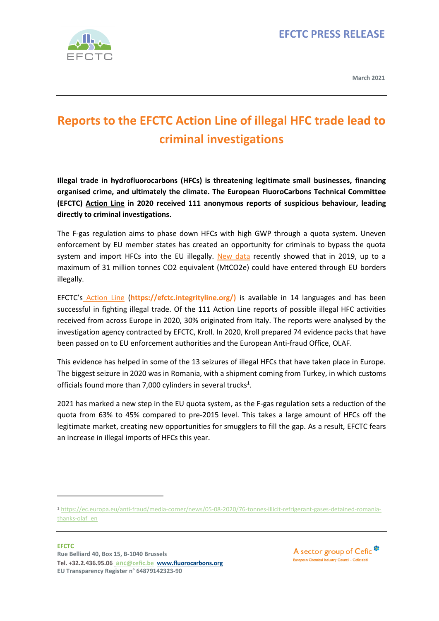

**March 2021**

## **Reports to the EFCTC Action Line of illegal HFC trade lead to criminal investigations**

**Illegal trade in hydrofluorocarbons (HFCs) is threatening legitimate small businesses, financing organised crime, and ultimately the climate. The European FluoroCarbons Technical Committee (EFCTC) [Action Line](https://efctc.integrityline.org/) in 2020 received 111 anonymous reports of suspicious behaviour, leading directly to criminal investigations.** 

The F-gas regulation aims to phase down HFCs with high GWP through a quota system. Uneven enforcement by EU member states has created an opportunity for criminals to bypass the quota system and import HFCs into the EU illegally. [New data](https://stopillegalcooling.eu/data/) recently showed that in 2019, up to a maximum of 31 million tonnes CO2 equivalent (MtCO2e) could have entered through EU borders illegally.

EFCTC's [Action Line](https://efctc.integrityline.org/) (**[https://efctc.integrityline.org/\)](https://efctc.integrityline.org/)** is available in 14 languages and has been successful in fighting illegal trade. Of the 111 Action Line reports of possible illegal HFC activities received from across Europe in 2020, 30% originated from Italy. The reports were analysed by the investigation agency contracted by EFCTC, Kroll. In 2020, Kroll prepared 74 evidence packs that have been passed on to EU enforcement authorities and the European Anti-fraud Office, OLAF.

This evidence has helped in some of the 13 seizures of illegal HFCs that have taken place in Europe. The biggest seizure in 2020 was in Romania, with a shipment coming from Turkey, in which customs officials found more than 7,000 cylinders in several trucks<sup>1</sup>.

2021 has marked a new step in the EU quota system, as the F-gas regulation sets a reduction of the quota from 63% to 45% compared to pre-2015 level. This takes a large amount of HFCs off the legitimate market, creating new opportunities for smugglers to fill the gap. As a result, EFCTC fears an increase in illegal imports of HFCs this year.

<sup>1</sup> [https://ec.europa.eu/anti-fraud/media-corner/news/05-08-2020/76-tonnes-illicit-refrigerant-gases-detained-romania](https://ec.europa.eu/anti-fraud/media-corner/news/05-08-2020/76-tonnes-illicit-refrigerant-gases-detained-romania-thanks-olaf_en)[thanks-olaf\\_en](https://ec.europa.eu/anti-fraud/media-corner/news/05-08-2020/76-tonnes-illicit-refrigerant-gases-detained-romania-thanks-olaf_en)